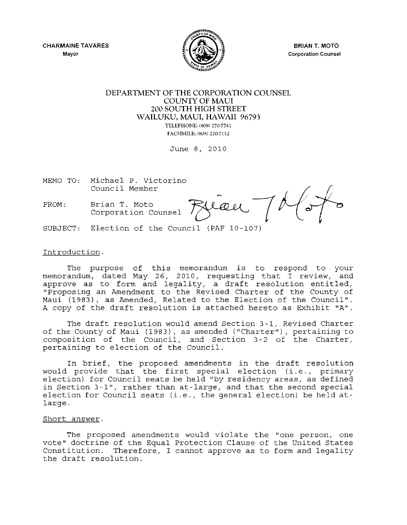CHARMAINE TAVARES **Mayor** 



BRIAN T. MOTO **Corporation Counsel** 

#### DEPARTMENT OF THE CORPORATION COUNSEL COUNTY OF MAUl 200 SOUTH HIGH STREET WAILUKU, MAUl, HAWAII 96793 TELEPHONE: (808) 270-7741

FACSIMILEI (S08) 270-7152

June 8, 2010

MEMO TO: Michael P. Victorino

FROM: Brian T. Moto<br>Corporation Counsel

Council Member t{~ Michael P. Victorino<br>Council Member<br>Brian T. Moto<br>Corporation Counsel 790all

SUBJECT: Election of the Council (PAF 10-107)

#### Introduction.

The purpose of this memorandum is to respond to your memorandum, dated May 26, 2010, requesting that I review, and approve as to form and legality, a draft resolution entitled, "proposing an Amendment to the Revised Charter of the County of Maui (1983), as Amended, Related to the Election of the Council". A copy of the draft resolution is attached hereto as Exhibit "A".

The draft resolution would amend Section 3-1, Revised Charter of the County of Maui (1983), as amended ("Charter"), pertaining to composition of the Council, and Section 3-2 of the Charter, pertaining to election of the Council.

In brief, the proposed amendments in the draft resolution would provide that the first special election (i.e., primary election) for Council seats be held "by residency areas, as defined in Section 3-1", rather than at-large, and that the second special election for Council seats (i.e., the general election) be held atlarge.

#### Short answer.

The proposed amendments would violate the "one person, one vote" doctrine of the Equal Protection Clause of the United States Constitution. Therefore, I cannot approve as to form and legality the draft resolution.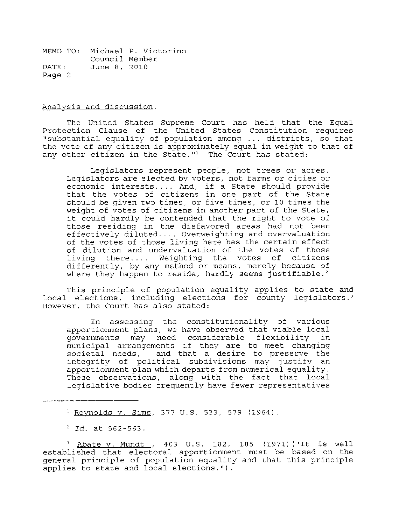Analysis and discussion.

The United States Supreme Court has held that the Equal Protection Clause of the United States Constitution requires "substantial equality of population among ... districts, so that the vote of any citizen is approximately equal in weight to that of any other citizen in the State."<sup>1</sup> The Court has stated:

Legislators represent people, not trees or acres. Legislators are elected by voters, not farms or cities or economic interests .... And, if a State should provide that the votes of citizens in one part of the State should be given two times, or five times, or 10 times the weight of votes of citizens in another part of the State, it could hardly be contended that the right to vote of those residing in the disfavored areas had not been effectively diluted .... Overweighting and overvaluation of the votes of those living here has the certain effect of dilution and undervaluation of the votes of those living there.... Weighting the votes of citizens differently, by any method or means, merely because of where they happen to reside, hardly seems justifiable.<sup>2</sup>

This principle of population equality applies to state and local elections, including elections for county legislators.' However, the Court has also stated:

In assessing the constitutionality of various apportionment plans, we have observed that viable local<br>governments may need considerable flexibility in governments may need considerable flexibility municipal arrangements if they are to meet changing societal needs, and that a desire to preserve the integrity of political subdivisions may justify an apportionment plan which departs from numerical equality. These observations, along with the fact that local legislative bodies frequently have fewer representatives

1 Reynolds v. Sims, 377 U.S. 533, 579 (1964).

*<sup>2</sup> Id.* at 562-563.

<sup>3</sup> Abate v. Mundt, 403 U.S. 182, 185 (1971) ("It is well established that electoral apportionment must be based on the general principle of population equality and that this principle applies to state and local elections.").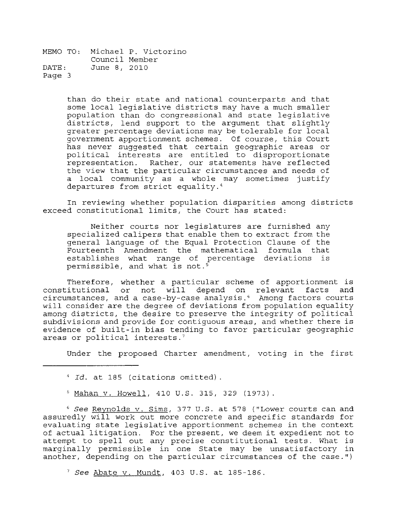> than do their state and national counterparts and that some local legislative districts may have a much smaller population than do congressional and state legislative districts, lend support to the argument that slightly greater percentage deviations may be tolerable for local government apportionment schemes. Of course, this Court has never suggested that certain geographic areas or poli tical interests are entitled to disproportionate representation. Rather, our statements have reflected the view that the particular circumstances and needs of a local community as a whole may sometimes justify departures from strict equality.'

In reviewing whether population disparities among districts exceed constitutional limits, the Court has stated:

Neither courts nor legislatures are furnished any specialized calipers that enable them to extract from the general language of the Equal Protection Clause of the Fourteenth Amendment the mathematical formula that establishes what range of percentage deviations is permissible, and what is not.<sup>5</sup>

Therefore, whether a particular scheme of apportionment is constitutional or not will depend on relevant facts and circumstances, and a case-by-case analysis.' Among factors courts will consider are the degree of deviations from population equality among districts, the desire to preserve the integrity of political subdivisions and provide for contiguous areas, and whether there is evidence of built-in bias tending to favor particular geographic areas or political interests.'

Under the proposed Charter amendment, voting in the first

<sup>4</sup>*Id.* at 185 (citations omitted) .

5 Mahan v. Howell, 410 U.S. 315, 329 (1973).

<sup>6</sup> See Reynolds v. Sims, 377 U.S. at 578 ("Lower courts can and assuredly will work out more concrete and specific standards for evaluating state legislative apportionment schemes in the context evaluating state legislative apportionment schemes in the context<br>of actual litigation. For the present, we deem it expedient not to attempt to spell out any precise constitutional tests. What is marginally permissible in one State may be unsatisfactory in another, depending on the particular circumstances of the case.")

 $^7$  See Abate v. Mundt, 403 U.S. at 185-186.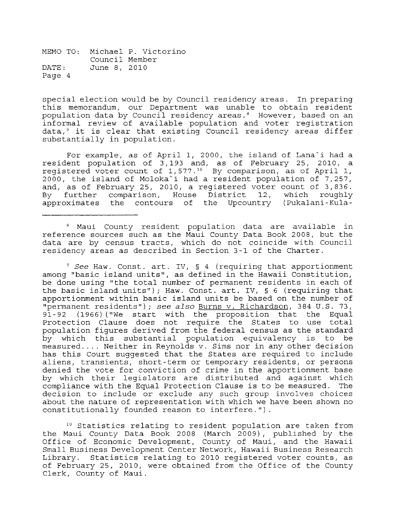special election would be by Council residency areas. In preparing this memorandum, our Department was unable to obtain resident population data by Council residency areas.<sup>8</sup> However, based on an informal review of available population and voter registration data,<sup>9</sup> it is clear that existing Council residency areas differ substantially in population.

For example, as of April 1, 2000, the island of Lana'i had a resident population of 3,193 and, as of February 25, 2010, a reqistered voter count of  $1,577.^{10}$  By comparison, as of April 1, 2000, the island of Moloka'i had a resident population of  $7,257$ , and, as of February 25, 2010, a registered voter count of 3,836.<br>By further comparison, House District 12, which roughly further comparison, House District 12, approximates the contours of the Upcountry (Pukalani-Kula-

8 Maui County resident population data are available in reference sources such as the Maui County Data Book 2008, but the data are by census tracts, which do not coincide with Council residency areas as described in Section 3-1 of the Charter.

*9 See* Haw. Const. art. IV, § 4 (requiring that apportionment among "basic island units", as defined in the Hawaii Constitution, be done using "the total number of permanent residents in each of the basic island units"); Haw. Const. art. IV, § 6 (requiring that apportionment within basic island units be based on the number of "permanent residents"); *see also* Burns v. Richardson, 384 U.S. 73, 91-92 (1966) ("We start with the proposition that the Equal Protection Clause does not require the States to use total population figures derived from the federal census as the standard by which this substantial population equivalency is to be measured.... Neither in Reynolds v. Sims nor in any other decision has this Court suggested that the States are required to include aliens, transients, short-term or temporary residents, or persons denied the vote for conviction of crime in the apportionment base by which their legislators are distributed and against which compliance with the Equal Protection Clause is to be measured. The decision to include or exclude any such group involves choices about the nature of representation with which we have been shown no constitutionally founded reason to interfere.").

10 Statistics relating to resident population are taken from the Maui County Data Book 2008 (March 2009), published by the Office of Economic Development, County of Maui, and the Hawaii Small Business Development Center Network, Hawaii Business Research Library. Statistics relating to 2010 registered voter counts, as of February 25, 2010, were obtained from the Office of the County Clerk, County of Maui.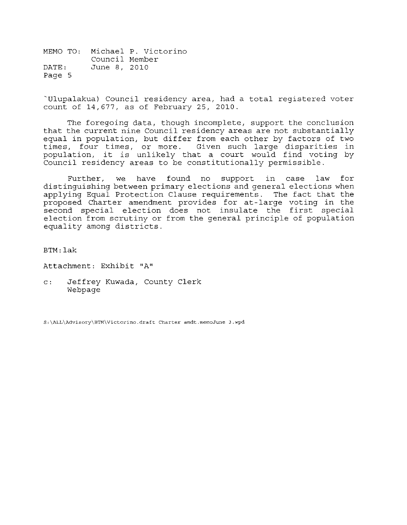'Ulupalakua) Council residency area, had a total registered voter count of 14,677, as of February 25, 2010.

The foregoing data, though incomplete, support the conclusion that the current nine Council residency areas are not substantially equal in population, but differ from each other by factors of two times, four times, or more. Gi ven such large disparities in population, it is unlikely that a court would find voting by Council residency areas to be constitutionally permissible.

Further, we have found no support in case law for distinguishing between primary elections and general elections when applying Equal Protection Clause requirements. The fact that the proposed Charter amendment provides for at-large voting in the second special election does not insulate the first special election from scrutiny or from the general principle of population equality among districts.

BTM:lak

Attachment: Exhibit **"A"** 

c: Jeffrey Kuwada, County Clerk Webpage

**S:\ALL\Advisory\BTM\Victorino.draft Charter amdt.memoJune 3.wpd**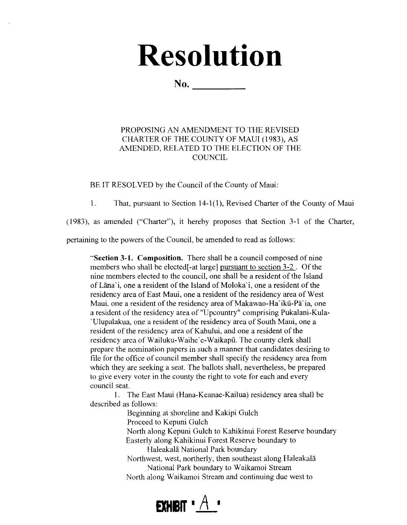# **Resolution**

 $No.$ 

#### PROPOSING AN AMENDMENT TO THE REVISED CHARTER OF THE COUNTY OF MAUl (1983), AS AMENDED, RELATED TO THE ELECTION OF THE **COUNCIL**

BE IT RESOLVED by the Council of the County of Maui:

1. That, pursuant to Section 14-1(1), Revised Charter of the County of Maui

(1983), as amended ("Charter"), it hereby proposes that Section 3-1 of the Charter,

pertaining to the powers of the Council, be amended to read as follows:

"Section 3-1. Composition. There shall be a council composed of nine members who shall be elected[-at large] pursuant to section 3-2. Of the nine members elected to the council, one shall be a resident of the Island ofUma'i, one a resident of the Island of Moloka'i, one a resident of the residency area of East Maui, one a resident of the residency area of West Maui, one a resident of the residency area of Makawao-Ha' ikū-Pā' ia, one a resident of the residency area of "Upcountry" comprising Pukalani-Kula- 'Ulupalakua, one a resident of the residency area of South Maui, one a resident of the residency area of Kahului, and one a resident of the residency area of Wailuku-Waihe 'e-Waikapil. The county clerk shall prepare the nomination papers in such a manner that candidates desiring to file for the office of council member shall specify the residency area from which they are seeking a seat. The ballots shall, nevertheless, be prepared to give every voter in the county the right to vote for each and every council seat.

I. The East Maui (Hana-Keanae-Kailua) residency area shall be described as follows:

Beginning at shoreline and Kakipi Gulch

Proceed to Kepuni Gulch

North along Kepuni Gulch to Kahikinui Forest Reserve boundary Easterly along Kahikinui Forest Reserve boundary to

HaleakaIa National Park boundary

Northwest, west, northerly, then southeast along Haleakala National Park boundary to Waikamoi Stream North along Waikamoi Stream and continuing due west to

# **EXHIBIT \***  $A$  \*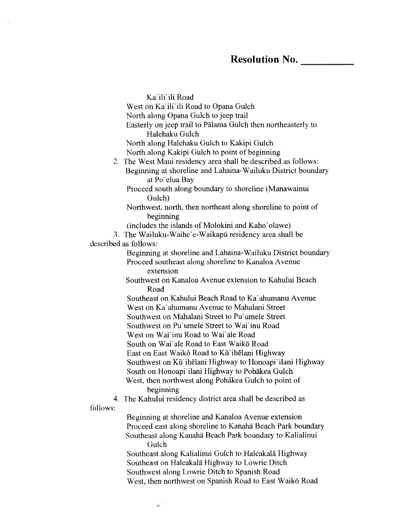Ka'ili'ili Road West on Ka'ili'ili Road to Opana Gulch North along Opana Gulch to jeep trail Easterly on jeep trail to Palama Gulch then northeasterly to Halehaku Gulch North along Halehaku Gulch to Kakipi Gulch North along Kakipi Gulch to point of beginning 2, The West Maui residency area shall be described as follows: Beginning at shoreline and Lahaina-Wailuku District boundary at Po' clua Bay Proceed south along boundary to shoreline (Manawainui Gulch) Northwest, north, then northeast along shoreline to point of beginning (includes the islands of Molokini and Kaho'olawe) 3, The Wailuku-Waihe'e-Waikapii residency area shall be described as follows: Beginning at shoreline and Lahaina-Wailuku District boundary Proceed southeast along shoreline to Kanaloa Avenue extension Southwest on Kanaloa Avenue extension to Kahului Beach Road Southeast on Kahului Beach Road to Ka'ahumanu Avenue West on Ka'ahumanu Avenue to Mahalani Street Southwest on Mahalani Street to Pu'umele Street Southwest on Pu'umele Street to Wai'inu Road West on Wai'inu Road to Wai'ale Road South on Wai'ale Road to East Waikō Road East on East Waikō Road to Kū'ihēlani Highway Southwest on Kū' ihelani Highway to Honoapi' ilani Highway South on Honoapi'ilani Highway to Pohakea Gulch West, then northwest along Pohakea Gulch to point of beginning 4. The Kahului residency district area shall be described as follows: Beginning at shoreline and Kanaloa A venue extension Proceed east along shoreline to Kanaha Beach Park boundary Southeast along Kanaha Beach Park boundary to Kalialinui Gulch Southeast along Kalialinui Gulch to Haleakala Highway Southeast on Haleakala Highway to Lowrie Ditch Southwest along Lowrie Ditch to Spanish Road West, then northwest on Spanish Road to East Waikō Road

"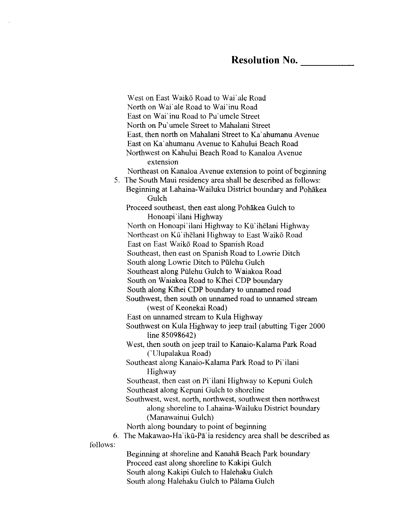West on East Waikō Road to Wai'ale Road North on Wai'ale Road to Wai'inu Road East on Wai' inu Road to Pu' umele Street North on Pu'umele Street to Mahalani Street East, then north on Mahalani Street to Ka'ahumanu Avenue East on Ka'ahumanu Avenue to Kahului Beach Road Northwest on Kahului Beach Road to Kanaloa Avenue extension Northeast on Kanaloa Avenue extension to point of beginning 5. The South Maui residency area shall be described as follows: Beginning at Lahaina-Wailuku District boundary and Pohakea Gulch Proceed southeast, then east along Pohakea Gulch to Honoapi'ilani Highway North on Honoapi'ilani Highway to Kū'ihelani Highway Northeast on Kü'ihelani Highway to East Waiko Road East on East Waiko Road to Spanish Road Southeast, then east on Spanish Road to Lowrie Ditch South along Lowrie Ditch to Pülehu Gulch Southeast along Pulehu Gulch to Waiakoa Road South on Waiakoa Road to KThei CDP boundary South along KThei CDP boundary to unnamed road Southwest, then south on unnamed road to unnamed stream (west of Keonekai Road) East on unnamed stream to Kula Highway Southwest on Kula Highway to jeep trail (abutting Tiger 2000 line 85098642) West, then south on jeep trail to Kanaio-Kalama Park Road ('Ulupalakua Road) Southeast along Kanaio-Kalama Park Road to Pi'ilani Highway Southeast, then east on Pi' ilani Highway to Kepuni Gulch Southeast along Kepuni Gulch to shoreline Southwest, west, north, northwest, southwest then northwest along shoreline to Lahaina-Wailuku District boundary (Manawainui Gulch) North along boundary to point of beginning 6. The Makawao-Ha'ikii-Pa:ia residency area shall be described as follows: Beginning at shoreline and Kanaha Beach Park boundary Proceed east along shoreline to Kakipi Gulch South along Kakipi Gulch to Halehaku Gulch

South along Halehaku Gulch to Palama Gulch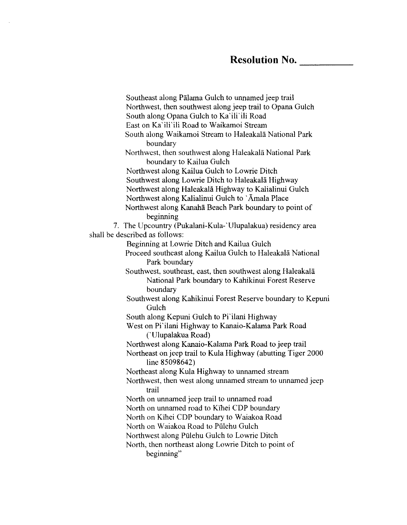Southeast along Palama Gulch to unnamed jeep trail Northwest, then southwest along jeep trail to Opana Gulch South along Opana Gulch to Ka'ili'ili Road East on Ka'ili'ili Road to Waikamoi Stream South along Waikamoi Stream to Haleakala National Park boundary Northwest, then southwest along Haleakala National Park boundary to Kailua Gulch Northwest along Kailua Gulch to Lowrie Ditch Southwest along Lowrie Ditch to Haleakala Highway Northwest along Haleakala Highway to Kalialinui Gulch Northwest along Kalialinui Gulch to 'Amala Place Northwest along Kanaha Beach Park boundary to point of beginning 7. The Upcountry (Pukalani-Kula-'Ulupalakua) residency area shall be described as follows: Beginning at Lowrie Ditch and Kailua Gulch Proceed southeast along Kailua Gulch to Haleakala National Park boundary Southwest, southeast, east, then southwest along Haleakala National Park boundary to Kahikinui Forest Reserve boundary Southwest along Kahikinui Forest Reserve boundary to Kepuni **Gulch** South along Kepuni Gulch to Pi'ilani Highway West on Pi'ilani Highway to Kanaio-Kalama Park Road ('Ulupalakua Road) Northwest along Kanaio-Kalama Park Road to jeep trail Northeast on jeep trail to Kula Highway (abutting Tiger 2000 line 85098642) Northeast along Kula Highway to unnamed stream Northwest, then west along unnamed stream to unnamed jeep trail North on unnamed jeep trail to unnamed road North on unnamed road to Kihei COP boundary North on Kihei COP boundary to Waiakoa Road North on Waiakoa Road to Piilehu Gulch Northwest along Piilehu Gulch to Lowrie Ditch North, then northeast along Lowrie Ditch to point of beginning"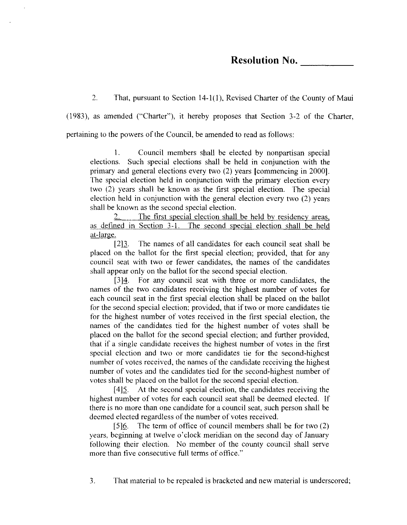### **Resolution No.** \_\_\_\_ \_

2. That, pursuant to Section 14-1(1), Revised Charter of the County of Maui

(1983), as amended ("Charter"), it hereby proposes that Section 3-2 of the Charter,

pertaining to the powers of the Council, be amended to read as follows:

1. Council members shall be elected by nonpartisan special elections. Such special elections shall be held in conjunction with the primary and general elections every two (2) years [commencing in 2000]. The special election held in conjunction with the primary election every two (2) years shall be known as the first special election. The special election held in conjunction with the general election every two (2) years shall be known as the second special election.

2. The first special election shall be held by residency areas, as defined in Section 3-1. The second special election shall be held at-large.

[2]3. The names of all candidates for each council seat shall be placed on the ballot for the first special election; provided, that for any council seat with two or fewer candidates, the names of the candidates shall appear only on the ballot for the second special election.

[3H. For any council seat with three or more candidates, the names of the two candidates receiving the highest number of votes for each council seat in the first special election shall be placed on the ballot for the second special election; provided, that if two or more candidates tie for the highest number of votes received in the first special election, the names of the candidates tied for the highest number of votes shall be placed on the ballot for the second special election; and further provided, that if a single candidate receives the highest number of votes in the first special election and two or more candidates tie for the second-highest number of votes received, the names of the candidate receiving the highest number of votes and the candidates tied for the second-highest number of votes shall be placed on the ballot for the second special election.

 $[4]$ <sup>5</sup>. At the second special election, the candidates receiving the highest number of votes for each council seat shall be deemed elected. If there is no more than one candidate for a council seat, such person shall be deemed elected regardless of the number of votes received.

[5]<sup>6</sup>. The term of office of council members shall be for two (2) years, beginning at twelve o'clock meridian on the second day of January following their election. No member of the county council shall serve more than five consecutive full terms of office."

3. That material to be repealed is bracketed and new material is underscored;